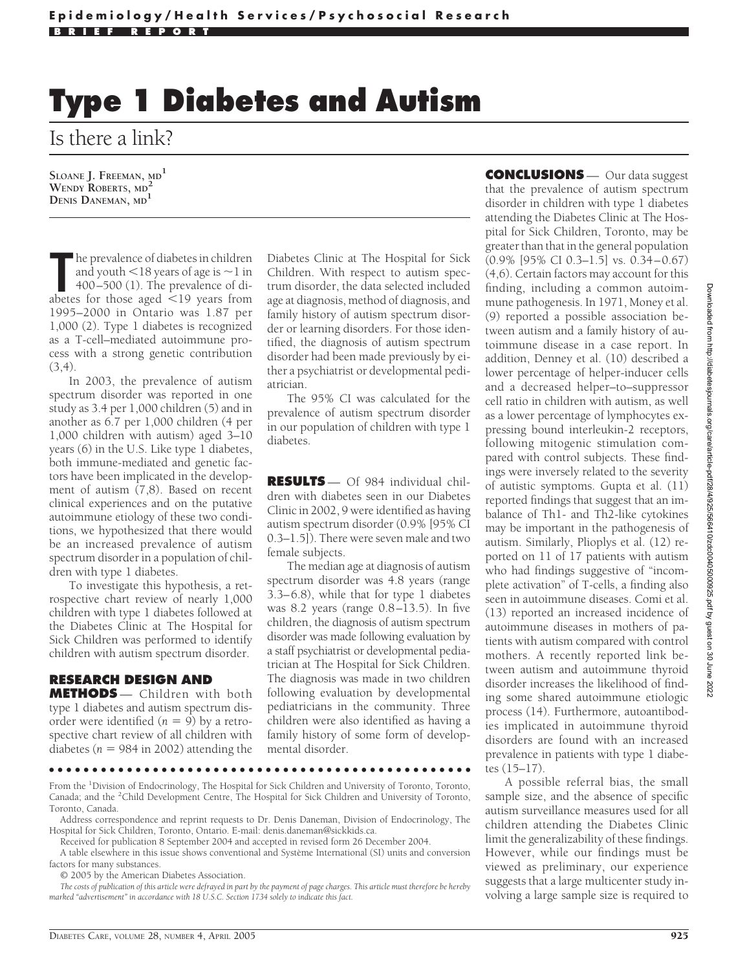## **Type 1 Diabetes and Autism**

Is there a link?

**SLOANE J. FREEMAN, MD<sup>1</sup> WENDY ROBERTS, MD<sup>2</sup> DENIS DANEMAN, MD<sup>1</sup>**

The prevalence of diabetes in children<br>
and youth <18 years of age is ~1 in<br>
400–500 (1). The prevalence of diabetes for those aged <19 years from he prevalence of diabetes in children and youth  $<$  18 years of age is  $\sim$  1 in 400–500 (1). The prevalence of di-1995–2000 in Ontario was 1.87 per 1,000 (2). Type 1 diabetes is recognized as a T-cell–mediated autoimmune process with a strong genetic contribution (3,4).

In 2003, the prevalence of autism spectrum disorder was reported in one study as 3.4 per 1,000 children (5) and in another as 6.7 per 1,000 children (4 per 1,000 children with autism) aged 3–10 years (6) in the U.S. Like type 1 diabetes, both immune-mediated and genetic factors have been implicated in the development of autism (7,8). Based on recent clinical experiences and on the putative autoimmune etiology of these two conditions, we hypothesized that there would be an increased prevalence of autism spectrum disorder in a population of children with type 1 diabetes.

To investigate this hypothesis, a retrospective chart review of nearly 1,000 children with type 1 diabetes followed at the Diabetes Clinic at The Hospital for Sick Children was performed to identify children with autism spectrum disorder.

## **RESEARCH DESIGN AND**

**METHODS** — Children with both type 1 diabetes and autism spectrum disorder were identified  $(n = 9)$  by a retrospective chart review of all children with diabetes ( $n = 984$  in 2002) attending the Diabetes Clinic at The Hospital for Sick Children. With respect to autism spectrum disorder, the data selected included age at diagnosis, method of diagnosis, and family history of autism spectrum disorder or learning disorders. For those identified, the diagnosis of autism spectrum disorder had been made previously by either a psychiatrist or developmental pediatrician.

The 95% CI was calculated for the prevalence of autism spectrum disorder in our population of children with type 1 diabetes.

**RESULTS** — Of 984 individual children with diabetes seen in our Diabetes Clinic in 2002, 9 were identified as having autism spectrum disorder (0.9% [95% CI 0.3–1.5]). There were seven male and two female subjects.

The median age at diagnosis of autism spectrum disorder was 4.8 years (range 3.3–6.8), while that for type 1 diabetes was 8.2 years (range 0.8–13.5). In five children, the diagnosis of autism spectrum disorder was made following evaluation by a staff psychiatrist or developmental pediatrician at The Hospital for Sick Children. The diagnosis was made in two children following evaluation by developmental pediatricians in the community. Three children were also identified as having a family history of some form of developmental disorder.

●●●●●●●●●●●●●●●●●●●●●●●●●●●●●●●●●●●●●●●●●●●●●●●●●

From the <sup>1</sup>Division of Endocrinology, The Hospital for Sick Children and University of Toronto, Toronto, Canada; and the <sup>2</sup>Child Development Centre, The Hospital for Sick Children and University of Toronto, Toronto, Canada.

Address correspondence and reprint requests to Dr. Denis Daneman, Division of Endocrinology, The Hospital for Sick Children, Toronto, Ontario. E-mail: denis.daneman@sickkids.ca.

Received for publication 8 September 2004 and accepted in revised form 26 December 2004.

A table elsewhere in this issue shows conventional and Système International (SI) units and conversion factors for many substances.

© 2005 by the American Diabetes Association.

*The costs of publication of this article were defrayed in part by the payment of page charges. This article must therefore be hereby marked "advertisement" in accordance with 18 U.S.C. Section 1734 solely to indicate this fact.*

**CONCLUSIONS** — Our data suggest that the prevalence of autism spectrum disorder in children with type 1 diabetes attending the Diabetes Clinic at The Hospital for Sick Children, Toronto, may be greater than that in the general population (0.9% [95% CI 0.3–1.5] vs. 0.34–0.67) (4,6). Certain factors may account for this finding, including a common autoimmune pathogenesis. In 1971, Money et al. (9) reported a possible association between autism and a family history of autoimmune disease in a case report. In addition, Denney et al. (10) described a lower percentage of helper-inducer cells and a decreased helper–to–suppressor cell ratio in children with autism, as well as a lower percentage of lymphocytes expressing bound interleukin-2 receptors, following mitogenic stimulation compared with control subjects. These findings were inversely related to the severity of autistic symptoms. Gupta et al. (11) reported findings that suggest that an imbalance of Th1- and Th2-like cytokines may be important in the pathogenesis of autism. Similarly, Plioplys et al. (12) reported on 11 of 17 patients with autism who had findings suggestive of "incomplete activation" of T-cells, a finding also seen in autoimmune diseases. Comi et al. (13) reported an increased incidence of autoimmune diseases in mothers of patients with autism compared with control mothers. A recently reported link between autism and autoimmune thyroid disorder increases the likelihood of finding some shared autoimmune etiologic process (14). Furthermore, autoantibodies implicated in autoimmune thyroid disorders are found with an increased prevalence in patients with type 1 diabetes (15–17).

A possible referral bias, the small sample size, and the absence of specific autism surveillance measures used for all children attending the Diabetes Clinic limit the generalizability of these findings. However, while our findings must be viewed as preliminary, our experience suggests that a large multicenter study involving a large sample size is required to